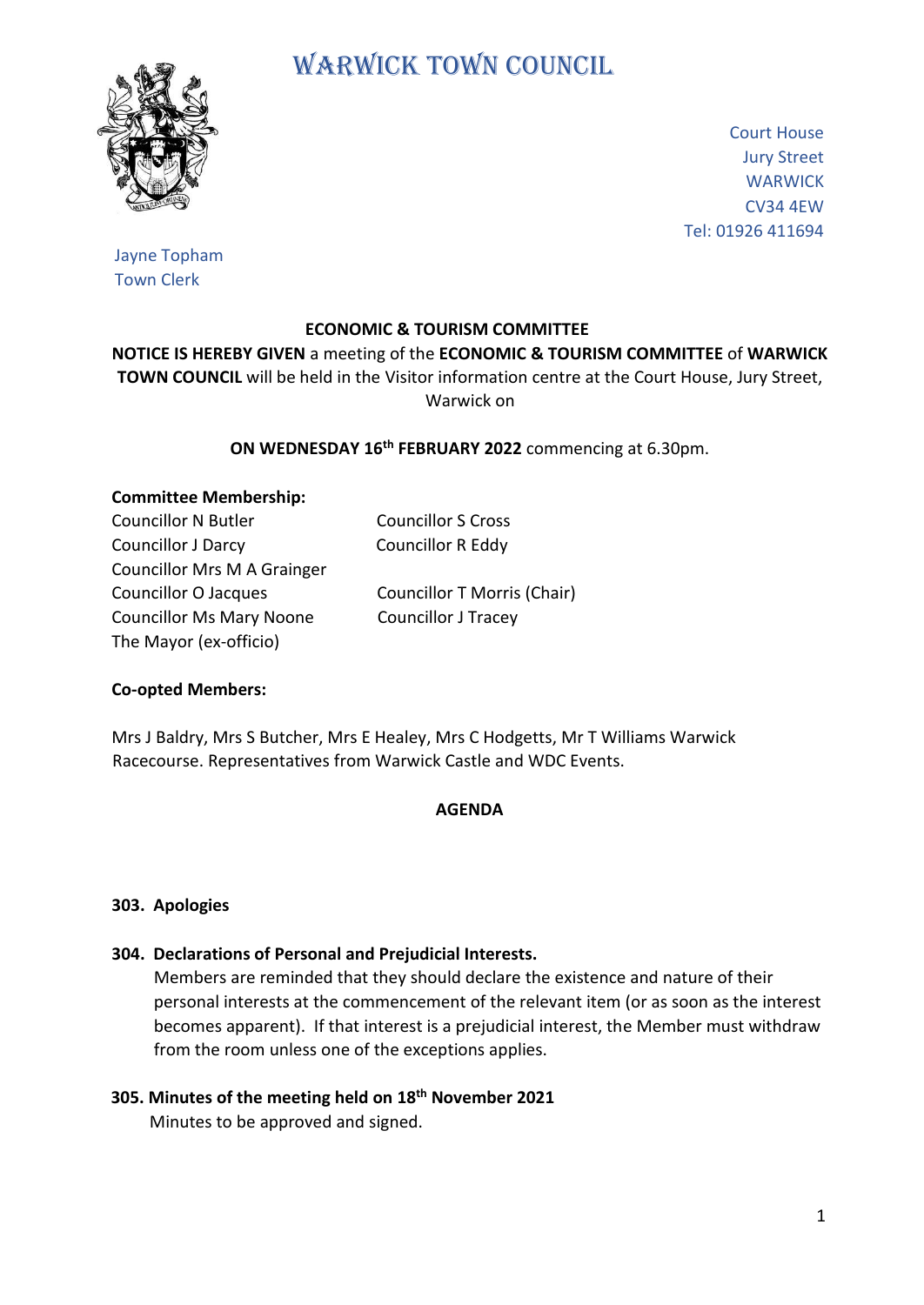# WARWICK TOWN COUNCIL



Court House Jury Street **WARWICK** CV34 4EW Tel: 01926 411694

Jayne Topham Town Clerk

# **ECONOMIC & TOURISM COMMITTEE**

**NOTICE IS HEREBY GIVEN** a meeting of the **ECONOMIC & TOURISM COMMITTEE** of **WARWICK TOWN COUNCIL** will be held in the Visitor information centre at the Court House, Jury Street, Warwick on

# **ON WEDNESDAY 16th FEBRUARY 2022** commencing at 6.30pm.

#### **Committee Membership:**

Councillor N Butler Councillor S Cross Councillor J Darcy Councillor R Eddy Councillor Mrs M A Grainger Councillor O Jacques Councillor T Morris (Chair) Councillor Ms Mary Noone Councillor J Tracey The Mayor (ex-officio)

# **Co-opted Members:**

Mrs J Baldry, Mrs S Butcher, Mrs E Healey, Mrs C Hodgetts, Mr T Williams Warwick Racecourse. Representatives from Warwick Castle and WDC Events.

#### **AGENDA**

# **303. Apologies**

#### **304. Declarations of Personal and Prejudicial Interests.**

 Members are reminded that they should declare the existence and nature of their personal interests at the commencement of the relevant item (or as soon as the interest becomes apparent). If that interest is a prejudicial interest, the Member must withdraw from the room unless one of the exceptions applies.

# **305. Minutes of the meeting held on 18th November 2021**

Minutes to be approved and signed.